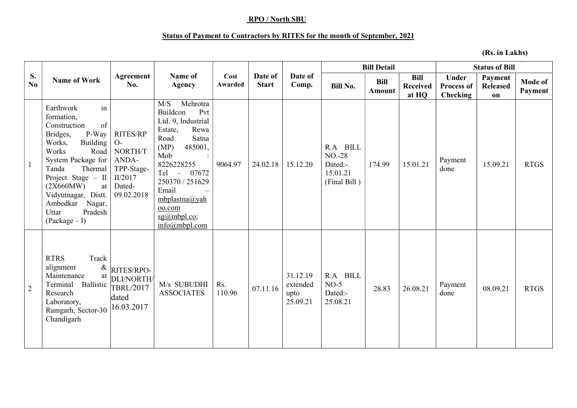## RPO / North SBU

## Status of Payment to Contractors by RITES for the month of September, 2021

(Rs. in Lakhs)

| S.<br>No.      | <b>Name of Work</b>                                                                                                                                                                                                                                                                           |                                                                                       |                                                                                                                                                                                                                                                                                       |                 |                         |                                          |                                                            | <b>Bill Detail</b>    |                                         | <b>Status of Bill</b>                                |                                  |                           |
|----------------|-----------------------------------------------------------------------------------------------------------------------------------------------------------------------------------------------------------------------------------------------------------------------------------------------|---------------------------------------------------------------------------------------|---------------------------------------------------------------------------------------------------------------------------------------------------------------------------------------------------------------------------------------------------------------------------------------|-----------------|-------------------------|------------------------------------------|------------------------------------------------------------|-----------------------|-----------------------------------------|------------------------------------------------------|----------------------------------|---------------------------|
|                |                                                                                                                                                                                                                                                                                               | Agreement<br>No.                                                                      | Name of<br>Agency                                                                                                                                                                                                                                                                     | Cost<br>Awarded | Date of<br><b>Start</b> | Date of<br>Comp.                         | <b>Bill No.</b>                                            | <b>Bill</b><br>Amount | <b>Bill</b><br><b>Received</b><br>at HQ | <b>Under</b><br><b>Process of</b><br><b>Checking</b> | Payment<br><b>Released</b><br>on | <b>Mode of</b><br>Payment |
| $\mathbf{1}$   | in<br>Earthwork<br>formation,<br>of<br>Construction<br>P-Way<br>Bridges,<br><b>Building</b><br>Works,<br>Works<br>Road<br>System Package for<br>Tanda<br>Thermal<br>Project Stage - II<br>(2X660MW)<br>at<br>Vidyutnagar, Distt.<br>Ambedkar<br>Nagar,<br>Pradesh<br>Uttar<br>$(Package - I)$ | RITES/RP<br>$O-$<br>NORTH/T<br>ANDA-<br>TPP-Stage-<br>II/2017<br>Dated-<br>09.02.2018 | Mehrotra<br>M/S<br>Buildcon<br>Pvt<br>Ltd. 9, Industrial<br>Rewa<br>Estate,<br>Satna<br>Road<br>(MP)<br>485001,<br>Mob<br>$\ddot{\cdot}$<br>8226228255<br>$Tel -$<br>07672<br>250370 / 251629<br>Email<br>$mbplastna(a)$ yah<br>oo.com<br>$sg(a)$ mbpl.co;<br>$info(\omega)$ mbpl.com | 9064.97         | 24.02.18                | 15.12.20                                 | R.A BILL<br>$NO-28$<br>Dated:-<br>15.01.21<br>(Final Bill) | 174.99                | 15.01.21                                | Payment<br>done                                      | 15.09.21                         | <b>RTGS</b>               |
| $\overline{2}$ | Track<br><b>RTRS</b><br>$\&$<br>alignment<br>Maintenance<br>at<br>Ballistic<br>Terminal<br>Research<br>Laboratory,<br>Ramgarh, Sector-30<br>Chandigarh                                                                                                                                        | RITES/RPO-<br>DLI/NORTH/<br><b>TBRL/2017</b><br>dated<br>16.03.2017                   | M/s SUBUDHI<br><b>ASSOCIATES</b>                                                                                                                                                                                                                                                      | Rs.<br>110.96   | 07.11.16                | 31.12.19<br>extended<br>upto<br>25.09.21 | R.A BILL<br>$NO-5$<br>Dated:-<br>25.08.21                  | 28.83                 | 26.08.21                                | Payment<br>done                                      | 08.09.21                         | <b>RTGS</b>               |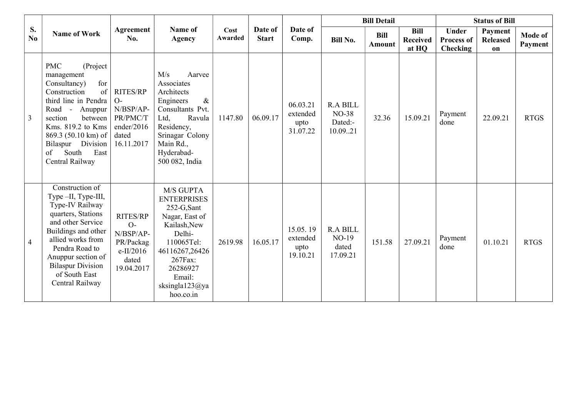|                | <b>Name of Work</b>                                                                                                                                                                                                                                          |                                                                                       |                                                                                                                                                                                           |                        |                         |                                          |                                                       | <b>Bill Detail</b>    |                                         | <b>Status of Bill</b>                         |                                  |                    |
|----------------|--------------------------------------------------------------------------------------------------------------------------------------------------------------------------------------------------------------------------------------------------------------|---------------------------------------------------------------------------------------|-------------------------------------------------------------------------------------------------------------------------------------------------------------------------------------------|------------------------|-------------------------|------------------------------------------|-------------------------------------------------------|-----------------------|-----------------------------------------|-----------------------------------------------|----------------------------------|--------------------|
| S.<br>No.      |                                                                                                                                                                                                                                                              | Agreement<br>No.                                                                      | Name of<br><b>Agency</b>                                                                                                                                                                  | Cost<br><b>Awarded</b> | Date of<br><b>Start</b> | Date of<br>Comp.                         | <b>Bill No.</b>                                       | <b>Bill</b><br>Amount | <b>Bill</b><br><b>Received</b><br>at HQ | <b>Under</b><br><b>Process of</b><br>Checking | Payment<br><b>Released</b><br>on | Mode of<br>Payment |
| $\overline{3}$ | <b>PMC</b><br>(Project<br>management<br>for<br>Consultancy)<br>Construction<br>of<br>third line in Pendra<br>Road - Anuppur<br>between<br>section<br>Kms. 819.2 to Kms<br>869.3 (50.10 km) of<br>Bilaspur Division<br>of<br>South<br>East<br>Central Railway | <b>RITES/RP</b><br>$O-$<br>N/BSP/AP-<br>PR/PMC/T<br>ender/2016<br>dated<br>16.11.2017 | M/s<br>Aarvee<br>Associates<br>Architects<br>$\&$<br>Engineers<br>Consultants Pvt.<br>Ltd,<br>Ravula<br>Residency,<br>Srinagar Colony<br>Main Rd.,<br>Hyderabad-<br>500 082, India        | 1147.80                | 06.09.17                | 06.03.21<br>extended<br>upto<br>31.07.22 | <b>R.A BILL</b><br><b>NO-38</b><br>Dated:-<br>10.0921 | 32.36                 | 15.09.21                                | Payment<br>done                               | 22.09.21                         | <b>RTGS</b>        |
| $\overline{4}$ | Construction of<br>Type-II, Type-III,<br>Type-IV Railway<br>quarters, Stations<br>and other Service<br>Buildings and other<br>allied works from<br>Pendra Road to<br>Anuppur section of<br><b>Bilaspur Division</b><br>of South East<br>Central Railway      | <b>RITES/RP</b><br>$O-$<br>N/BSP/AP-<br>PR/Packag<br>e-II/2016<br>dated<br>19.04.2017 | M/S GUPTA<br><b>ENTERPRISES</b><br>252-G,Sant<br>Nagar, East of<br>Kailash, New<br>Delhi-<br>110065Tel:<br>46116267,26426<br>267Fax:<br>26286927<br>Email:<br>sksingla123@ya<br>hoo.co.in | 2619.98                | 16.05.17                | 15.05.19<br>extended<br>upto<br>19.10.21 | <b>R.A BILL</b><br><b>NO-19</b><br>dated<br>17.09.21  | 151.58                | 27.09.21                                | Payment<br>done                               | 01.10.21                         | <b>RTGS</b>        |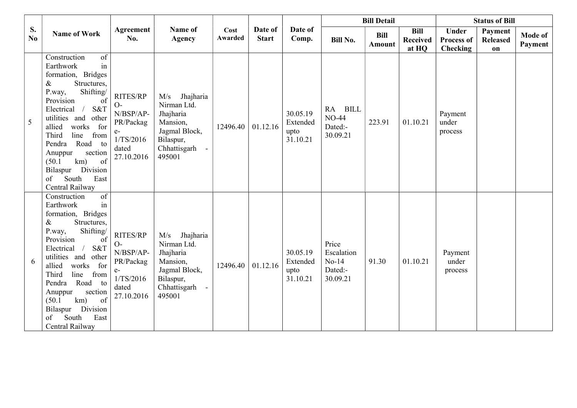|           | <b>Name of Work</b>                                                                                                                                                                                                                                                                                                                                                                            |                                                                                        |                                                                                                                  |                 |                         |                                                    |                                                       | <b>Bill Detail</b>                      |                                                      | <b>Status of Bill</b>            |                           |  |
|-----------|------------------------------------------------------------------------------------------------------------------------------------------------------------------------------------------------------------------------------------------------------------------------------------------------------------------------------------------------------------------------------------------------|----------------------------------------------------------------------------------------|------------------------------------------------------------------------------------------------------------------|-----------------|-------------------------|----------------------------------------------------|-------------------------------------------------------|-----------------------------------------|------------------------------------------------------|----------------------------------|---------------------------|--|
| S.<br>No. |                                                                                                                                                                                                                                                                                                                                                                                                | Agreement<br>No.                                                                       | Name of<br><b>Agency</b>                                                                                         | Cost<br>Awarded | Date of<br><b>Start</b> | Date of<br><b>Bill</b><br>Comp.<br><b>Bill No.</b> | Amount                                                | <b>Bill</b><br><b>Received</b><br>at HQ | <b>Under</b><br><b>Process of</b><br><b>Checking</b> | Payment<br><b>Released</b><br>on | <b>Mode of</b><br>Payment |  |
| 5         | of<br>Construction<br>in<br>Earthwork<br>formation, Bridges<br>Structures,<br>&<br>Shifting/<br>P.way,<br>Provision<br>of<br>S&T<br>Electrical<br>$\sqrt{2}$<br>utilities and<br>other<br>works<br>allied<br>for<br>Third<br>line<br>from<br>Road to<br>Pendra<br>section<br>Anuppur<br>km)<br>of<br>(50.1)<br>Bilaspur Division<br>of<br>South<br>East<br>Central Railway                     | RITES/RP<br>$O-$<br>N/BSP/AP-<br>PR/Packag<br>$e-$<br>1/TS/2016<br>dated<br>27.10.2016 | Jhajharia<br>M/s<br>Nirman Ltd.<br>Jhajharia<br>Mansion,<br>Jagmal Block,<br>Bilaspur,<br>Chhattisgarh<br>495001 | 12496.40        | 01.12.16                | 30.05.19<br>Extended<br>upto<br>31.10.21           | RA BILL<br><b>NO-44</b><br>Dated:-<br>30.09.21        | 223.91                                  | 01.10.21                                             | Payment<br>under<br>process      |                           |  |
| 6         | $\overline{\text{of}}$<br>Construction<br>in<br>Earthwork<br>formation, Bridges<br>Structures,<br>&<br>Shifting/<br>P.way,<br>Provision<br>of<br>S&T<br>Electrical<br>$\sqrt{2}$<br>utilities and<br>other<br>works<br>for<br>allied<br>Third<br>line<br>from<br>Road to<br>Pendra<br>section<br>Anuppur<br>of<br>km)<br>(50.1)<br>Bilaspur Division<br>of<br>South<br>East<br>Central Railway | RITES/RP<br>$O-$<br>N/BSP/AP-<br>PR/Packag<br>$e-$<br>1/TS/2016<br>dated<br>27.10.2016 | Jhajharia<br>M/s<br>Nirman Ltd.<br>Jhajharia<br>Mansion,<br>Jagmal Block,<br>Bilaspur,<br>Chhattisgarh<br>495001 | 12496.40        | 01.12.16                | 30.05.19<br>Extended<br>upto<br>31.10.21           | Price<br>Escalation<br>$No-14$<br>Dated:-<br>30.09.21 | 91.30                                   | 01.10.21                                             | Payment<br>under<br>process      |                           |  |